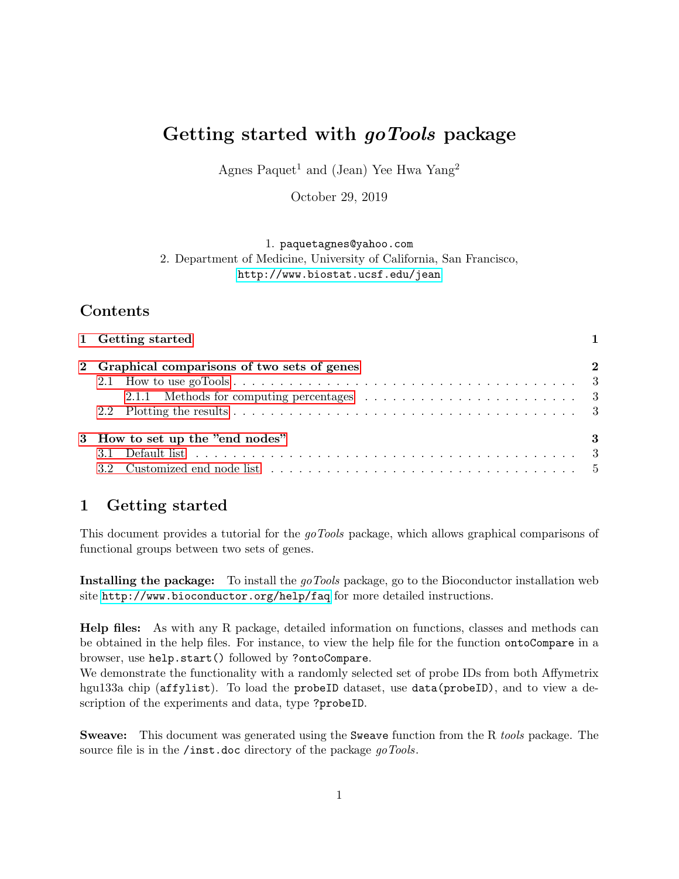# Getting started with goTools package

Agnes Paquet<sup>1</sup> and (Jean) Yee Hwa Yang<sup>2</sup>

October 29, 2019

1. paquetagnes@yahoo.com

2. Department of Medicine, University of California, San Francisco, <http://www.biostat.ucsf.edu/jean>

# Contents

| 1 Getting started                            |          |
|----------------------------------------------|----------|
| 2 Graphical comparisons of two sets of genes | $\bf{2}$ |
|                                              |          |
|                                              |          |
|                                              |          |
| 3 How to set up the "end nodes"              | -3       |
|                                              |          |
|                                              |          |
|                                              |          |

# <span id="page-0-0"></span>1 Getting started

This document provides a tutorial for the goTools package, which allows graphical comparisons of functional groups between two sets of genes.

Installing the package: To install the goTools package, go to the Bioconductor installation web site <http://www.bioconductor.org/help/faq> for more detailed instructions.

Help files: As with any R package, detailed information on functions, classes and methods can be obtained in the help files. For instance, to view the help file for the function ontoCompare in a browser, use help.start() followed by ?ontoCompare.

We demonstrate the functionality with a randomly selected set of probe IDs from both Affymetrix hgu133a chip (affylist). To load the probeID dataset, use data(probeID), and to view a description of the experiments and data, type ?probeID.

Sweave: This document was generated using the Sweave function from the R tools package. The source file is in the /inst.doc directory of the package goTools.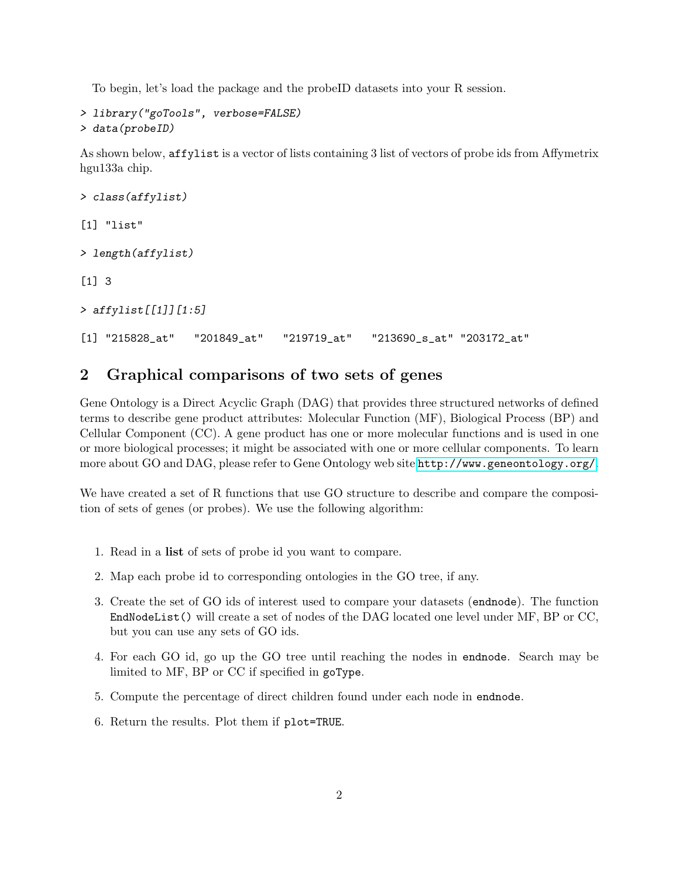To begin, let's load the package and the probeID datasets into your R session.

```
> library("goTools", verbose=FALSE)
> data(probeID)
```
As shown below, affylist is a vector of lists containing 3 list of vectors of probe ids from Affymetrix hgu133a chip.

```
> class(affylist)
[1] "list"
> length(affylist)
[1] 3
> affylist[[1]][1:5]
[1] "215828_at" "201849_at" "219719_at" "213690_s_at" "203172_at"
```
### <span id="page-1-0"></span>2 Graphical comparisons of two sets of genes

Gene Ontology is a Direct Acyclic Graph (DAG) that provides three structured networks of defined terms to describe gene product attributes: Molecular Function (MF), Biological Process (BP) and Cellular Component (CC). A gene product has one or more molecular functions and is used in one or more biological processes; it might be associated with one or more cellular components. To learn more about GO and DAG, please refer to Gene Ontology web site <http://www.geneontology.org/>.

We have created a set of R functions that use GO structure to describe and compare the composition of sets of genes (or probes). We use the following algorithm:

- 1. Read in a list of sets of probe id you want to compare.
- 2. Map each probe id to corresponding ontologies in the GO tree, if any.
- 3. Create the set of GO ids of interest used to compare your datasets (endnode). The function EndNodeList() will create a set of nodes of the DAG located one level under MF, BP or CC, but you can use any sets of GO ids.
- 4. For each GO id, go up the GO tree until reaching the nodes in endnode. Search may be limited to MF, BP or CC if specified in goType.
- 5. Compute the percentage of direct children found under each node in endnode.
- 6. Return the results. Plot them if plot=TRUE.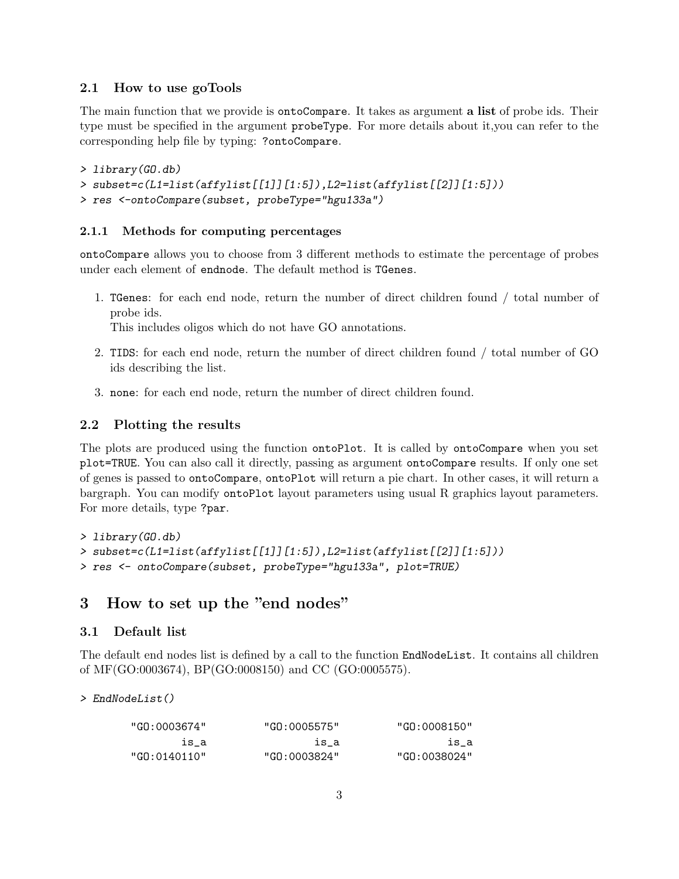#### <span id="page-2-0"></span>2.1 How to use goTools

The main function that we provide is **ontoCompare**. It takes as argument **a list** of probe ids. Their type must be specified in the argument probeType. For more details about it,you can refer to the corresponding help file by typing: ?ontoCompare.

```
> library(GO.db)
```

```
> subset=c(L1=list(affylist[[1]][1:5]),L2=list(affylist[[2]][1:5]))
```
> res <-ontoCompare(subset, probeType="hgu133a")

#### <span id="page-2-1"></span>2.1.1 Methods for computing percentages

ontoCompare allows you to choose from 3 different methods to estimate the percentage of probes under each element of endnode. The default method is TGenes.

1. TGenes: for each end node, return the number of direct children found / total number of probe ids.

This includes oligos which do not have GO annotations.

- 2. TIDS: for each end node, return the number of direct children found / total number of GO ids describing the list.
- 3. none: for each end node, return the number of direct children found.

#### <span id="page-2-2"></span>2.2 Plotting the results

The plots are produced using the function ontoPlot. It is called by ontoCompare when you set plot=TRUE. You can also call it directly, passing as argument ontoCompare results. If only one set of genes is passed to ontoCompare, ontoPlot will return a pie chart. In other cases, it will return a bargraph. You can modify ontoPlot layout parameters using usual R graphics layout parameters. For more details, type ?par.

```
> library(GO.db)
> subset=c(L1=list(affylist[[1]][1:5]),L2=list(affylist[[2]][1:5]))
> res <- ontoCompare(subset, probeType="hgu133a", plot=TRUE)
```
### <span id="page-2-3"></span>3 How to set up the "end nodes"

#### <span id="page-2-4"></span>3.1 Default list

The default end nodes list is defined by a call to the function EndNodeList. It contains all children of MF(GO:0003674), BP(GO:0008150) and CC (GO:0005575).

> EndNodeList()

| "GO:0003674"  | "GO:0005575" | "GO:0008150" |
|---------------|--------------|--------------|
| is a          | is a         | is a         |
| "GO: 0140110" | "GO:0003824" | "GO:0038024" |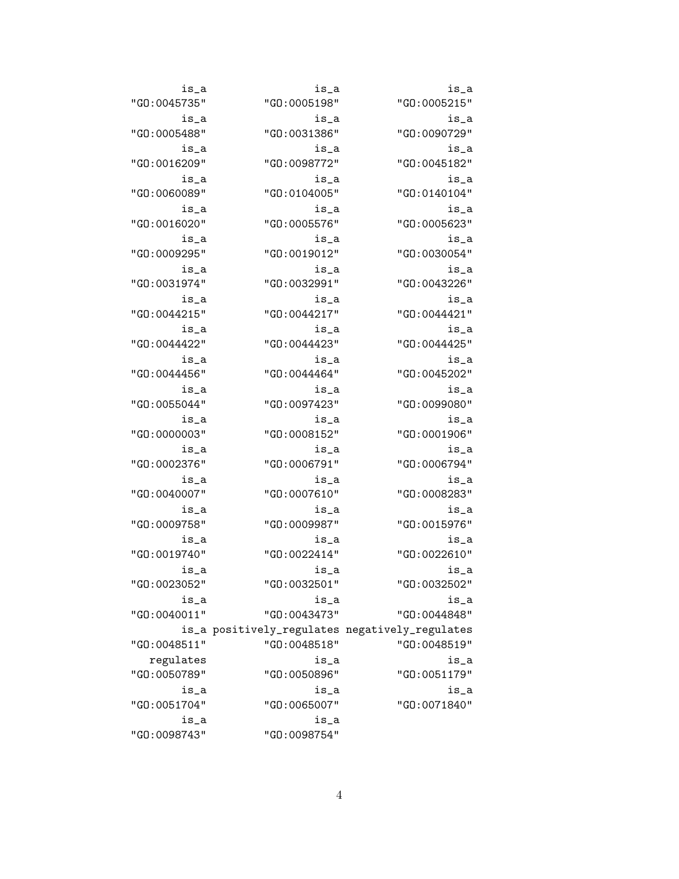| is_a         | is_a                                           | is_a          |  |
|--------------|------------------------------------------------|---------------|--|
| "GO:0045735" | "GO:0005198"                                   | "GO:0005215"  |  |
| is_a         | is_a                                           | is_a          |  |
| "GO:0005488" | "GO:0031386"                                   | "GO:0090729"  |  |
| is_a         | is_a                                           | is_a          |  |
| "GO:0016209" | "GO:0098772"                                   | "GO:0045182"  |  |
| is_a         | is_a                                           | is_a          |  |
| "GO:0060089" | "GO: 0104005"                                  | "GO: 0140104" |  |
| is_a         | is_a                                           | is_a          |  |
| "GO:0016020" | "GO:0005576"                                   | "GO:0005623"  |  |
| is_a         | is_a                                           | is_a          |  |
| "GO:0009295" | "GO:0019012"                                   | "GO:0030054"  |  |
| is_a         | is_a                                           | is_a          |  |
| "GO:0031974" | "GO:0032991"                                   | "GO:0043226"  |  |
| is_a         | is_a                                           | is_a          |  |
| "GO:0044215" | "GO:0044217"                                   | "GO:0044421"  |  |
| is_a         | is_a                                           | is_a          |  |
| "GO:0044422" | "GO:0044423"                                   | "GO:0044425"  |  |
| is_a         | is_a                                           | is_a          |  |
| "GO:0044456" | "GO:0044464"                                   | "GO:0045202"  |  |
| is_a         | is_a                                           | is_a          |  |
| "GO:0055044" | "GO:0097423"                                   | "GO:0099080"  |  |
| is_a         | is_a                                           | is_a          |  |
| "GO:0000003" | "GO:0008152"                                   | "GO:0001906"  |  |
| is_a         | is_a                                           | is_a          |  |
| "GO:0002376" | "GO:0006791"                                   | "GO:0006794"  |  |
| is_a         | is_a                                           | is_a          |  |
| "GO:0040007" | "GO:0007610"                                   | "GO:0008283"  |  |
| is_a         | is_a                                           | is_a          |  |
| "GO:0009758" | "GO:0009987"                                   | "GO:0015976"  |  |
| is_a         | is_a                                           | is_a          |  |
| "GO:0019740" | "GO:0022414"                                   | "GO:0022610"  |  |
| is_a         | is_a                                           | is_a          |  |
| "GO:0023052" | "GO:0032501"                                   | "GO:0032502"  |  |
| is_a         | is_a                                           | is_a          |  |
| "GO:0040011" | "GO:0043473"                                   | "GO:0044848"  |  |
|              | is_a positively_regulates negatively_regulates |               |  |
| "GO:0048511" | "GO:0048518"                                   | "GO:0048519"  |  |
| regulates    | is_a                                           | is_a          |  |
| "GO:0050789" | "GO:0050896"                                   | "GO: 0051179" |  |
| is_a         | is_a                                           | is_a          |  |
| "GO:0051704" | "GO:0065007"                                   | "GO:0071840"  |  |
| is_a         | is_a                                           |               |  |
| "GO:0098743" | "GO:0098754"                                   |               |  |